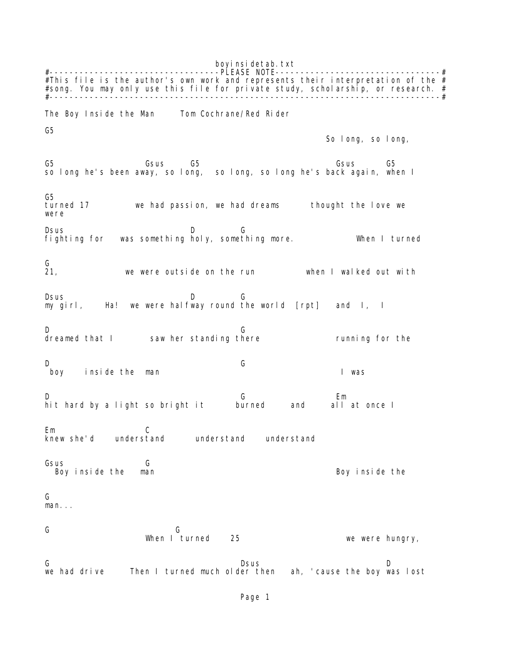boyinsidetab.txt #----------------------------------PLEASE NOTE---------------------------------# #This file is the author's own work and represents their interpretation of the  $#$ #song. You may only use this file for private study, scholarship, or research. # #------------------------------------------------------------------------------# The Boy Inside the Man Tom Cochrane/Red Rider G5 So long, so long, G5 Gsus G5 Gsus G5 so long he's been away, so long, so long, so long he's back again, when I G5<br>turned 17 we had passion, we had dreams thought the love we were Dsus D G fighting for was something holy, something more. When I turned  $\frac{G}{21}$ . we were outside on the run when I walked out with Dsus D G my girl, Ha! we were halfway round the world [rpt] and I, I D G dreamed that I saw her standing there **running** for the D G boy inside the man I was D G Em hit hard by a light so bright it burned and all at once I Em C<br>knew she'd underst。 understand understand understand Gsus G Boy inside the man Boy inside the man Boy inside the service of the service of the service of the service of the service of the service of the service of the service of the service of the service of the service of the serv G man... G G When I turned 25 we were hungry, G Dsus D we had drive Then I turned much older then ah, 'cause the boy was lost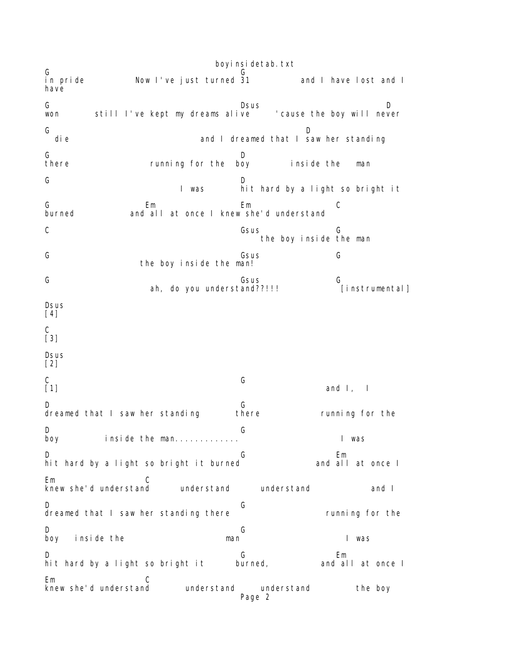boyinsidetab.txt G G in pride Now I've just turned 31 and I have lost and I have G Dsus D won still I've kept my dreams alive 'cause the boy will never G D die and I dreamed that I saw her standing G D there **running** for the boy inside the man G D I was hit hard by a light so bright it G G Em **Em Em C** burned and all at once I knew she'd understand C General Contract of the Contract of General Contract of General Contract of General Contract of General Contract O the boy inside the man Green in the Green of Green in the Green of Green in the Green of Green in the G the boy inside the man! Green in the Green of Green in the Green of Green in the Green of Green in the G ah, do you understand??!!! [instrumental] Dsus  $[4]$  $\mathcal{C}$ [3] **Dsus** [2] C<sub>3</sub> G<sub>3</sub>  $\left[1\right]$  and I, I D G dreamed that I saw her standing there the running for the D G boy inside the man............. I was D G Em hit hard by a light so bright it burned and all at once I Em C knew she'd understand understand understand and I D G dreamed that I saw her standing there running for the D G boy inside the man man I was D G Em hit hard by a light so bright it burned, and all at once I Em C knew she'd understand understand understand the boy Page 2